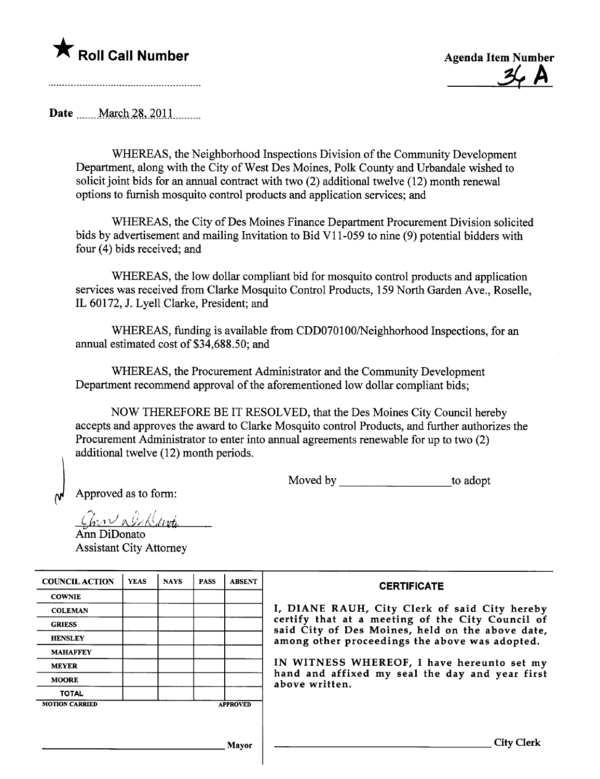## \* Roll Call Number Agenda Item Number



Date ..\_\_\_mM\_Wçh.is.,)QU\_\_m\_\_\_\_\_

WHEREAS, the Neighborhood Inspections Division of the Community Development Deparment, along with the City of West Des Moines, Polk County and Urbandale wished to solicit joint bids for an anual contract with two (2) additional twelve (12) month renewal options to furnish mosquito control products and application services; and

WHEREAS, the City of Des Moines Finance Deparment Procurement Division solicited bids by advertisement and mailng Invitation to Bid VI 1-059 to nine (9) potential bidders with four (4) bids received; and

WHEREAS, the low dollar compliant bid for mosquito control products and application services was received from Clarke Mosquito Control Products, 159 North Garden Ave., Roselle, IL 60172, J. Lyell Clarke, President; and

WHEREAS, fuding is available from CDD070100/Neighhorhood Inspections, for an anual estimated cost of \$34,688.50; and

WHEREAS, the Procurement Administrator and the Community Development Department recommend approval of the aforementioned low dollar compliant bids;

NOW THEREFORE BE IT RESOLVED, that the Des Moines City Council hereby accepts and approves the award to Clarke Mosquito control Products, and furher authorizes the Procurement Administrator to enter into anual agreements renewable for up to two (2) additional twelve (12) month periods.

Moved by to adopt

Approved as to form:

 $\mathfrak{b}$ 

 $\mathcal{L}_{\mathcal{V}}$  a  $\mathcal{O}_{\mathcal{A}}$  (look

Ann DiDonato Assistant City Attorney

| <b>COUNCIL ACTION</b> | <b>YEAS</b> | <b>NAYS</b> | <b>PASS</b> | <b>ABSENT</b>   | <b>CERTIFICATE</b>                                                                                   |
|-----------------------|-------------|-------------|-------------|-----------------|------------------------------------------------------------------------------------------------------|
| <b>COWNIE</b>         |             |             |             |                 |                                                                                                      |
| <b>COLEMAN</b>        |             |             |             |                 | I, DIANE RAUH, City Clerk of said City hereby                                                        |
| <b>GRIESS</b>         |             |             |             |                 | certify that at a meeting of the City Council of<br>said City of Des Moines, held on the above date, |
| <b>HENSLEY</b>        |             |             |             |                 | among other proceedings the above was adopted.                                                       |
| <b>MAHAFFEY</b>       |             |             |             |                 |                                                                                                      |
| <b>MEYER</b>          |             |             |             |                 | IN WITNESS WHEREOF, I have hereunto set my                                                           |
| <b>MOORE</b>          |             |             |             |                 | hand and affixed my seal the day and year first<br>above written.                                    |
| <b>TOTAL</b>          |             |             |             |                 |                                                                                                      |
| <b>MOTION CARRIED</b> |             |             |             | <b>APPROVED</b> |                                                                                                      |

Mayor City Clerk